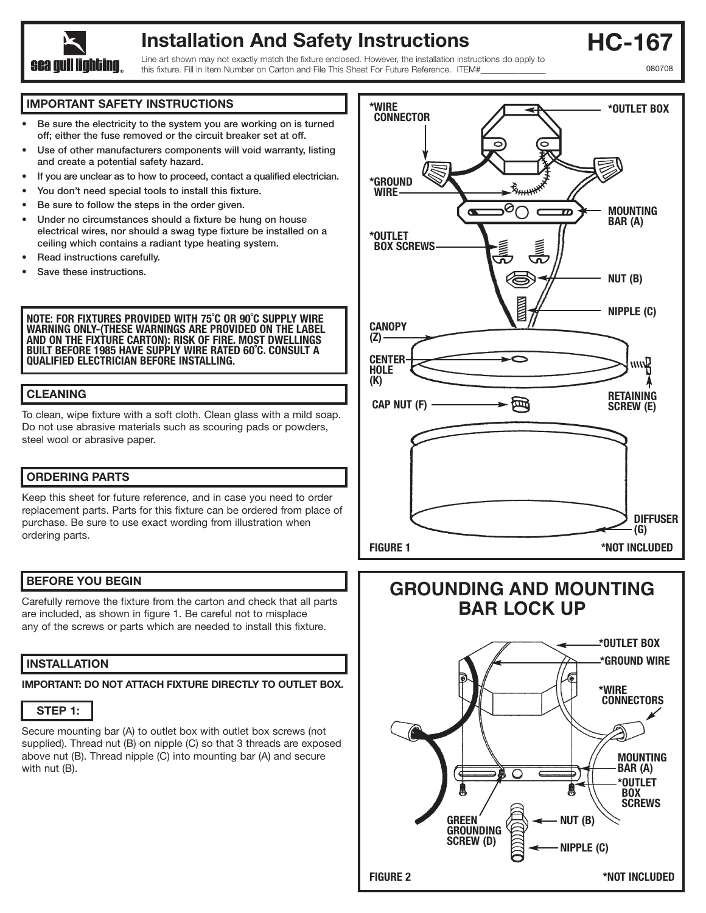

# **Installation And Safety Instructions**

Line art shown may not exactly match the fixture enclosed. However, the installation instructions do apply to this fixture. Fill in Item Number on Carton and File This Sheet For Future Reference. ITEM#

**HC-167** 080708

#### **IMPORTANT SAFETY INSTRUCTIONS**

- **• Be sure the electricity to the system you are working on is turned off; either the fuse removed or the circuit breaker set at off.**
- **Use of other manufacturers components will void warranty, listing and create a potential safety hazard.**
- **If you are unclear as to how to proceed, contact a qualified electrician.**
- **• You don't need special tools to install this fixture.**
- **Be sure to follow the steps in the order given.**
- **Under no circumstances should a fixture be hung on house electrical wires, nor should a swag type fixture be installed on a ceiling which contains a radiant type heating system.**
- **Read instructions carefully.**
- **• Save these instructions.**

**NOTE: FOR FIXTURES PROVIDED WITH 75˚C OR 90˚C SUPPLY WIRE WARNING ONLY-(THESE WARNINGS ARE PROVIDED ON THE LABEL AND ON THE FIXTURE CARTON): RISK OF FIRE. MOST DWELLINGS BUILT BEFORE 1985 HAVE SUPPLY WIRE RATED 60˚C. CONSULT A QUALIFIED ELECTRICIAN BEFORE INSTALLING.**

#### **CLEANING**

To clean, wipe fixture with a soft cloth. Clean glass with a mild soap. Do not use abrasive materials such as scouring pads or powders, steel wool or abrasive paper.

## **ORDERING PARTS**

Keep this sheet for future reference, and in case you need to order replacement parts. Parts for this fixture can be ordered from place of purchase. Be sure to use exact wording from illustration when ordering parts.

## **BEFORE YOU BEGIN**

Carefully remove the fixture from the carton and check that all parts are included, as shown in figure 1. Be careful not to misplace any of the screws or parts which are needed to install this fixture.

## **INSTALLATION**

**IMPORTANT: DO NOT ATTACH FIXTURE DIRECTLY TO OUTLET BOX.**



Secure mounting bar (A) to outlet box with outlet box screws (not supplied). Thread nut (B) on nipple (C) so that 3 threads are exposed above nut (B). Thread nipple (C) into mounting bar (A) and secure with nut (B).